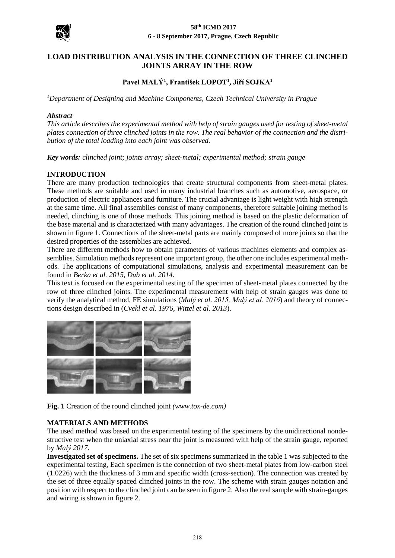

# **LOAD DISTRIBUTION ANALYSIS IN THE CONNECTION OF THREE CLINCHED JOINTS ARRAY IN THE ROW**

# **Pavel MALÝ<sup>1</sup> , František LOPOT<sup>1</sup> , Jiří SOJKA<sup>1</sup>**

*<sup>1</sup>Department of Designing and Machine Components, Czech Technical University in Prague* 

### *Abstract*

*This article describes the experimental method with help of strain gauges used for testing of sheet-metal plates connection of three clinched joints in the row. The real behavior of the connection and the distribution of the total loading into each joint was observed.* 

*Key words: clinched joint; joints array; sheet-metal; experimental method; strain gauge*

### **INTRODUCTION**

There are many production technologies that create structural components from sheet-metal plates. These methods are suitable and used in many industrial branches such as automotive, aerospace, or production of electric appliances and furniture. The crucial advantage is light weight with high strength at the same time. All final assemblies consist of many components, therefore suitable joining method is needed, clinching is one of those methods. This joining method is based on the plastic deformation of the base material and is characterized with many advantages. The creation of the round clinched joint is shown in figure 1. Connections of the sheet-metal parts are mainly composed of more joints so that the desired properties of the assemblies are achieved.

There are different methods how to obtain parameters of various machines elements and complex assemblies. Simulation methods represent one important group, the other one includes experimental methods. The applications of computational simulations, analysis and experimental measurement can be found in *Berka et al. 2015, Dub et al. 2014*.

This text is focused on the experimental testing of the specimen of sheet-metal plates connected by the row of three clinched joints. The experimental measurement with help of strain gauges was done to verify the analytical method, FE simulations (*Malý et al. 2015, Malý et al. 2016*) and theory of connections design described in (*Cvekl et al. 1976, Wittel et al. 2013*).



**Fig. 1** Creation of the round clinched joint *(www.tox-de.com)*

### **MATERIALS AND METHODS**

The used method was based on the experimental testing of the specimens by the unidirectional nondestructive test when the uniaxial stress near the joint is measured with help of the strain gauge, reported by *Malý 2017*.

**Investigated set of specimens.** The set of six specimens summarized in the table 1 was subjected to the experimental testing, Each specimen is the connection of two sheet-metal plates from low-carbon steel (1.0226) with the thickness of 3 mm and specific width (cross-section). The connection was created by the set of three equally spaced clinched joints in the row. The scheme with strain gauges notation and position with respect to the clinched joint can be seen in figure 2. Also the real sample with strain-gauges and wiring is shown in figure 2.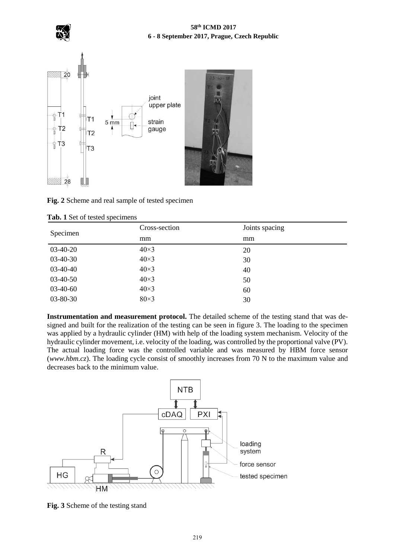

# **58th ICMD 2017 6 - 8 September 2017, Prague, Czech Republic**



# **Fig. 2** Scheme and real sample of tested specimen

| Specimen       | Cross-section | Joints spacing |
|----------------|---------------|----------------|
|                | mm            | mm             |
| $03-40-20$     | $40\times3$   | 20             |
| $03-40-30$     | $40\times3$   | 30             |
| $03-40-40$     | $40\times3$   | 40             |
| $03-40-50$     | $40\times3$   | 50             |
| $03-40-60$     | $40\times3$   | 60             |
| $03 - 80 - 30$ | $80\times3$   | 30             |

**Tab. 1** Set of tested specimens

**Instrumentation and measurement protocol.** The detailed scheme of the testing stand that was designed and built for the realization of the testing can be seen in figure 3. The loading to the specimen was applied by a hydraulic cylinder (HM) with help of the loading system mechanism. Velocity of the hydraulic cylinder movement, i.e. velocity of the loading, was controlled by the proportional valve (PV). The actual loading force was the controlled variable and was measured by HBM force sensor (*www.hbm.cz*). The loading cycle consist of smoothly increases from 70 N to the maximum value and decreases back to the minimum value.



**Fig. 3** Scheme of the testing stand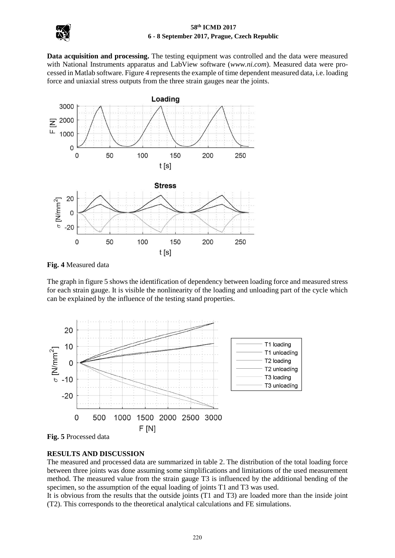

### **58th ICMD 2017 6 - 8 September 2017, Prague, Czech Republic**

**Data acquisition and processing.** The testing equipment was controlled and the data were measured with National Instruments apparatus and LabView software (*www.ni.com*). Measured data were processed in Matlab software. Figure 4 represents the example of time dependent measured data, i.e. loading force and uniaxial stress outputs from the three strain gauges near the joints.



**Fig. 4** Measured data

The graph in figure 5 shows the identification of dependency between loading force and measured stress for each strain gauge. It is visible the nonlinearity of the loading and unloading part of the cycle which can be explained by the influence of the testing stand properties.



**Fig. 5** Processed data

# **RESULTS AND DISCUSSION**

The measured and processed data are summarized in table 2. The distribution of the total loading force between three joints was done assuming some simplifications and limitations of the used measurement method. The measured value from the strain gauge T3 is influenced by the additional bending of the specimen, so the assumption of the equal loading of joints T1 and T3 was used.

It is obvious from the results that the outside joints (T1 and T3) are loaded more than the inside joint (T2). This corresponds to the theoretical analytical calculations and FE simulations.